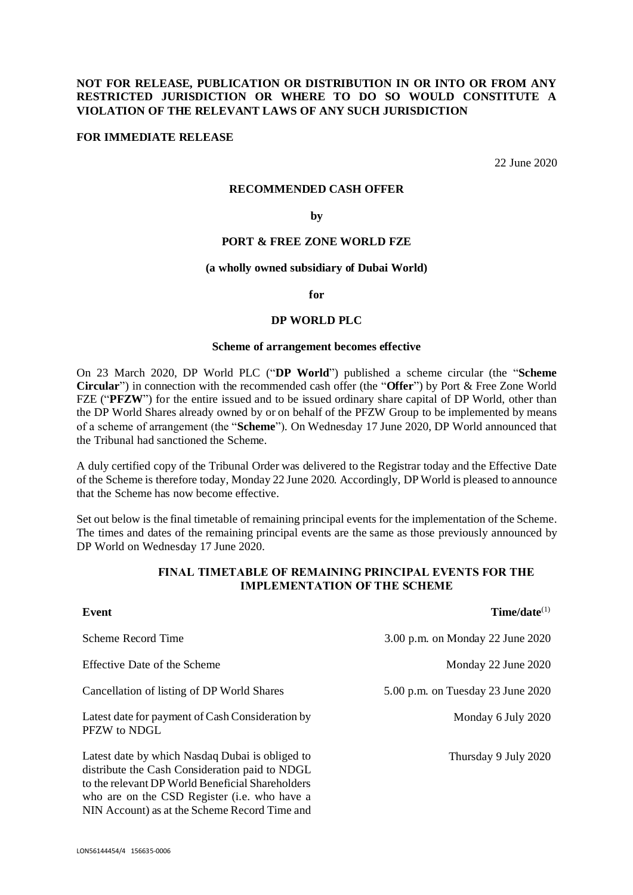# **NOT FOR RELEASE, PUBLICATION OR DISTRIBUTION IN OR INTO OR FROM ANY RESTRICTED JURISDICTION OR WHERE TO DO SO WOULD CONSTITUTE A VIOLATION OF THE RELEVANT LAWS OF ANY SUCH JURISDICTION**

## **FOR IMMEDIATE RELEASE**

22 June 2020

#### **RECOMMENDED CASH OFFER**

#### **by**

## **PORT & FREE ZONE WORLD FZE**

#### **(a wholly owned subsidiary of Dubai World)**

**for**

#### **DP WORLD PLC**

### **Scheme of arrangement becomes effective**

On 23 March 2020, DP World PLC ("**DP World**") published a scheme circular (the "**Scheme Circular**") in connection with the recommended cash offer (the "**Offer**") by Port & Free Zone World FZE ("**PFZW**") for the entire issued and to be issued ordinary share capital of DP World, other than the DP World Shares already owned by or on behalf of the PFZW Group to be implemented by means of a scheme of arrangement (the "**Scheme**"). On Wednesday 17 June 2020, DP World announced that the Tribunal had sanctioned the Scheme.

A duly certified copy of the Tribunal Order was delivered to the Registrar today and the Effective Date of the Scheme is therefore today, Monday 22 June 2020. Accordingly, DP World is pleased to announce that the Scheme has now become effective.

Set out below is the final timetable of remaining principal events for the implementation of the Scheme. The times and dates of the remaining principal events are the same as those previously announced by DP World on Wednesday 17 June 2020.

## **FINAL TIMETABLE OF REMAINING PRINCIPAL EVENTS FOR THE IMPLEMENTATION OF THE SCHEME**

| Event                                                                                                                                                                                                         | $Time/date^{(1)}$                 |
|---------------------------------------------------------------------------------------------------------------------------------------------------------------------------------------------------------------|-----------------------------------|
| Scheme Record Time                                                                                                                                                                                            | 3.00 p.m. on Monday 22 June 2020  |
| Effective Date of the Scheme                                                                                                                                                                                  | Monday 22 June 2020               |
| Cancellation of listing of DP World Shares                                                                                                                                                                    | 5.00 p.m. on Tuesday 23 June 2020 |
| Latest date for payment of Cash Consideration by<br>PFZW to NDGL                                                                                                                                              | Monday 6 July 2020                |
| Latest date by which Nasdaq Dubai is obliged to<br>distribute the Cash Consideration paid to NDGL<br>to the relevant DP World Beneficial Shareholders<br>who are on the CSD Register ( <i>i.e.</i> who have a | Thursday 9 July 2020              |

NIN Account) as at the Scheme Record Time and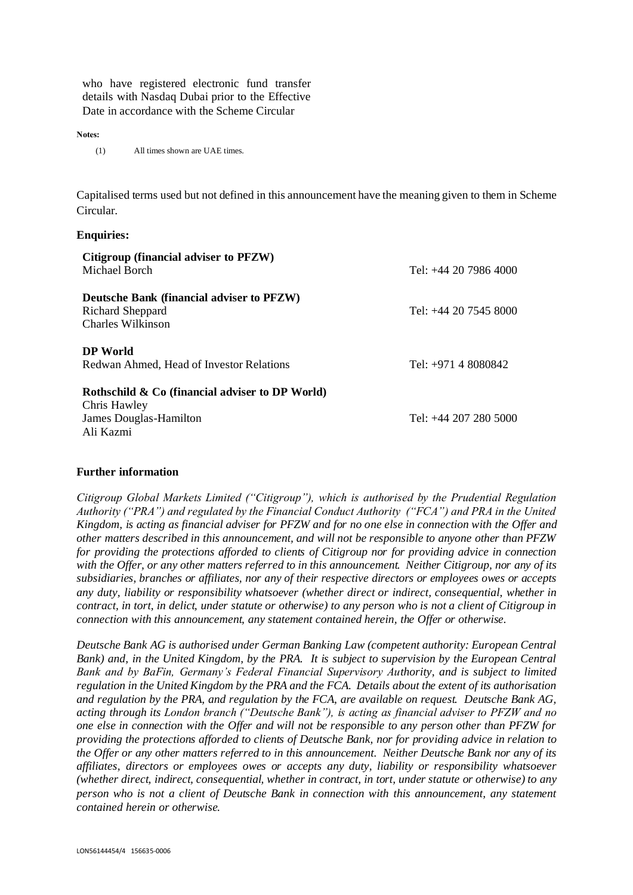who have registered electronic fund transfer details with Nasdaq Dubai prior to the Effective Date in accordance with the Scheme Circular

**Notes:**

(1) All times shown are UAE times.

Capitalised terms used but not defined in this announcement have the meaning given to them in Scheme Circular.

### **Enquiries:**

| Citigroup (financial adviser to PFZW)<br>Michael Borch                                                            | Tel: $+44$ 20 7986 4000 |
|-------------------------------------------------------------------------------------------------------------------|-------------------------|
| Deutsche Bank (financial adviser to PFZW)<br>Richard Sheppard<br>Charles Wilkinson                                | Tel: $+44$ 20 7545 8000 |
| <b>DP</b> World<br>Redwan Ahmed, Head of Investor Relations<br>Rothschild $\&$ Co (financial adviser to DP World) | Tel: $+971$ 4 8080842   |
| Chris Hawley<br>James Douglas-Hamilton<br>Ali Kazmi                                                               | Tel: +44 207 280 5000   |

### **Further information**

*Citigroup Global Markets Limited ("Citigroup"), which is authorised by the Prudential Regulation Authority ("PRA") and regulated by the Financial Conduct Authority ("FCA") and PRA in the United Kingdom, is acting as financial adviser for PFZW and for no one else in connection with the Offer and other matters described in this announcement, and will not be responsible to anyone other than PFZW for providing the protections afforded to clients of Citigroup nor for providing advice in connection with the Offer, or any other matters referred to in this announcement. Neither Citigroup, nor any of its subsidiaries, branches or affiliates, nor any of their respective directors or employees owes or accepts any duty, liability or responsibility whatsoever (whether direct or indirect, consequential, whether in contract, in tort, in delict, under statute or otherwise) to any person who is not a client of Citigroup in connection with this announcement, any statement contained herein, the Offer or otherwise.* 

*Deutsche Bank AG is authorised under German Banking Law (competent authority: European Central Bank) and, in the United Kingdom, by the PRA. It is subject to supervision by the European Central Bank and by BaFin, Germany's Federal Financial Supervisory Authority, and is subject to limited regulation in the United Kingdom by the PRA and the FCA. Details about the extent of its authorisation and regulation by the PRA, and regulation by the FCA, are available on request. Deutsche Bank AG, acting through its London branch ("Deutsche Bank"), is acting as financial adviser to PFZW and no one else in connection with the Offer and will not be responsible to any person other than PFZW for providing the protections afforded to clients of Deutsche Bank, nor for providing advice in relation to the Offer or any other matters referred to in this announcement. Neither Deutsche Bank nor any of its affiliates, directors or employees owes or accepts any duty, liability or responsibility whatsoever (whether direct, indirect, consequential, whether in contract, in tort, under statute or otherwise) to any person who is not a client of Deutsche Bank in connection with this announcement, any statement contained herein or otherwise.*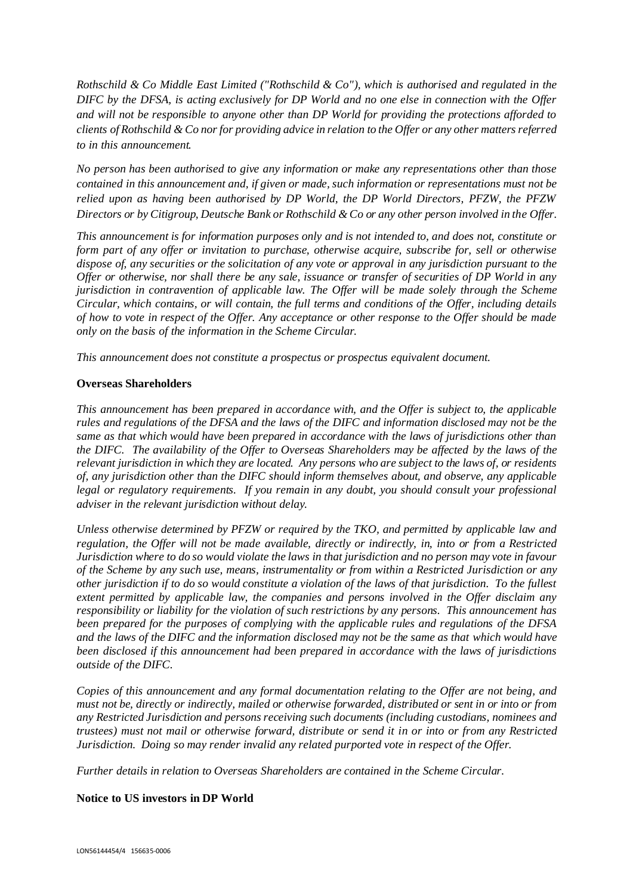*Rothschild & Co Middle East Limited ("Rothschild & Co"), which is authorised and regulated in the DIFC by the DFSA, is acting exclusively for DP World and no one else in connection with the Offer and will not be responsible to anyone other than DP World for providing the protections afforded to clients of Rothschild & Co nor for providing advice in relation to the Offer or any other matters referred to in this announcement.* 

*No person has been authorised to give any information or make any representations other than those contained in this announcement and, if given or made, such information or representations must not be relied upon as having been authorised by DP World, the DP World Directors, PFZW, the PFZW Directors or by Citigroup, Deutsche Bank or Rothschild & Co or any other person involved in the Offer.*

*This announcement is for information purposes only and is not intended to, and does not, constitute or form part of any offer or invitation to purchase, otherwise acquire, subscribe for, sell or otherwise dispose of, any securities or the solicitation of any vote or approval in any jurisdiction pursuant to the Offer or otherwise, nor shall there be any sale, issuance or transfer of securities of DP World in any jurisdiction in contravention of applicable law. The Offer will be made solely through the Scheme Circular, which contains, or will contain, the full terms and conditions of the Offer, including details of how to vote in respect of the Offer. Any acceptance or other response to the Offer should be made only on the basis of the information in the Scheme Circular.*

*This announcement does not constitute a prospectus or prospectus equivalent document.*

# **Overseas Shareholders**

*This announcement has been prepared in accordance with, and the Offer is subject to, the applicable rules and regulations of the DFSA and the laws of the DIFC and information disclosed may not be the same as that which would have been prepared in accordance with the laws of jurisdictions other than the DIFC. The availability of the Offer to Overseas Shareholders may be affected by the laws of the relevant jurisdiction in which they are located. Any persons who are subject to the laws of, or residents of, any jurisdiction other than the DIFC should inform themselves about, and observe, any applicable legal or regulatory requirements. If you remain in any doubt, you should consult your professional adviser in the relevant jurisdiction without delay.*

*Unless otherwise determined by PFZW or required by the TKO, and permitted by applicable law and regulation, the Offer will not be made available, directly or indirectly, in, into or from a Restricted Jurisdiction where to do so would violate the laws in that jurisdiction and no person may vote in favour of the Scheme by any such use, means, instrumentality or from within a Restricted Jurisdiction or any other jurisdiction if to do so would constitute a violation of the laws of that jurisdiction. To the fullest extent permitted by applicable law, the companies and persons involved in the Offer disclaim any responsibility or liability for the violation of such restrictions by any persons. This announcement has been prepared for the purposes of complying with the applicable rules and regulations of the DFSA and the laws of the DIFC and the information disclosed may not be the same as that which would have been disclosed if this announcement had been prepared in accordance with the laws of jurisdictions outside of the DIFC.*

*Copies of this announcement and any formal documentation relating to the Offer are not being, and must not be, directly or indirectly, mailed or otherwise forwarded, distributed or sent in or into or from any Restricted Jurisdiction and persons receiving such documents (including custodians, nominees and trustees) must not mail or otherwise forward, distribute or send it in or into or from any Restricted Jurisdiction. Doing so may render invalid any related purported vote in respect of the Offer.* 

*Further details in relation to Overseas Shareholders are contained in the Scheme Circular.*

# **Notice to US investors in DP World**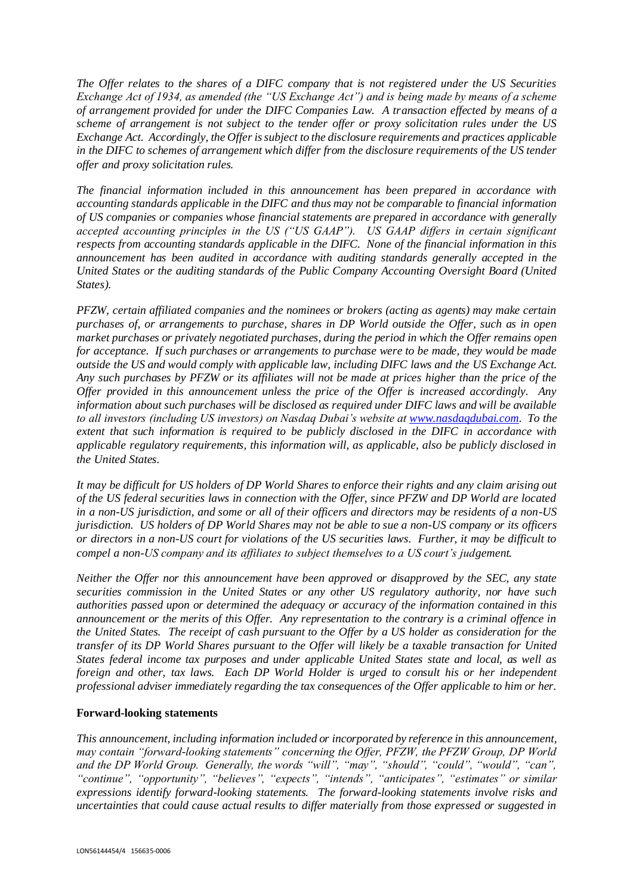*The Offer relates to the shares of a DIFC company that is not registered under the US Securities Exchange Act of 1934, as amended (the "US Exchange Act") and is being made by means of a scheme of arrangement provided for under the DIFC Companies Law. A transaction effected by means of a scheme of arrangement is not subject to the tender offer or proxy solicitation rules under the US Exchange Act. Accordingly, the Offer is subject to the disclosure requirements and practices applicable in the DIFC to schemes of arrangement which differ from the disclosure requirements of the US tender offer and proxy solicitation rules.*

*The financial information included in this announcement has been prepared in accordance with accounting standards applicable in the DIFC and thus may not be comparable to financial information of US companies or companies whose financial statements are prepared in accordance with generally accepted accounting principles in the US ("US GAAP"). US GAAP differs in certain significant respects from accounting standards applicable in the DIFC. None of the financial information in this announcement has been audited in accordance with auditing standards generally accepted in the United States or the auditing standards of the Public Company Accounting Oversight Board (United States).*

*PFZW, certain affiliated companies and the nominees or brokers (acting as agents) may make certain purchases of, or arrangements to purchase, shares in DP World outside the Offer, such as in open market purchases or privately negotiated purchases, during the period in which the Offer remains open for acceptance. If such purchases or arrangements to purchase were to be made, they would be made outside the US and would comply with applicable law, including DIFC laws and the US Exchange Act. Any such purchases by PFZW or its affiliates will not be made at prices higher than the price of the Offer provided in this announcement unless the price of the Offer is increased accordingly. Any information about such purchases will be disclosed as required under DIFC laws and will be available to all investors (including US investors) on Nasdaq Dubai's website at [www.nasdaqdubai.com.](http://www.nasdaqdubai.com/) To the extent that such information is required to be publicly disclosed in the DIFC in accordance with applicable regulatory requirements, this information will, as applicable, also be publicly disclosed in the United States.*

*It may be difficult for US holders of DP World Shares to enforce their rights and any claim arising out of the US federal securities laws in connection with the Offer, since PFZW and DP World are located in a non-US jurisdiction, and some or all of their officers and directors may be residents of a non-US jurisdiction. US holders of DP World Shares may not be able to sue a non-US company or its officers or directors in a non-US court for violations of the US securities laws. Further, it may be difficult to compel a non-US company and its affiliates to subject themselves to a US court's judgement.*

*Neither the Offer nor this announcement have been approved or disapproved by the SEC, any state securities commission in the United States or any other US regulatory authority, nor have such authorities passed upon or determined the adequacy or accuracy of the information contained in this announcement or the merits of this Offer. Any representation to the contrary is a criminal offence in the United States. The receipt of cash pursuant to the Offer by a US holder as consideration for the transfer of its DP World Shares pursuant to the Offer will likely be a taxable transaction for United States federal income tax purposes and under applicable United States state and local, as well as foreign and other, tax laws. Each DP World Holder is urged to consult his or her independent professional adviser immediately regarding the tax consequences of the Offer applicable to him or her.* 

## **Forward-looking statements**

*This announcement, including information included or incorporated by reference in this announcement, may contain "forward-looking statements" concerning the Offer, PFZW, the PFZW Group, DP World and the DP World Group. Generally, the words "will", "may", "should", "could", "would", "can", "continue", "opportunity", "believes", "expects", "intends", "anticipates", "estimates" or similar expressions identify forward-looking statements. The forward-looking statements involve risks and uncertainties that could cause actual results to differ materially from those expressed or suggested in*